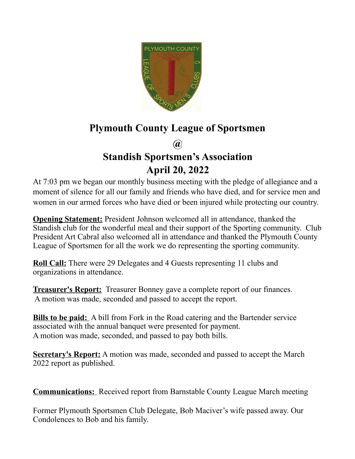

## **Plymouth County League of Sportsmen**

**@**

## **Standish Sportsmen's Association April 20, 2022**

At 7:03 pm we began our monthly business meeting with the pledge of allegiance and a moment of silence for all our family and friends who have died, and for service men and women in our armed forces who have died or been injured while protecting our country.

**Opening Statement:** President Johnson welcomed all in attendance, thanked the Standish club for the wonderful meal and their support of the Sporting community. Club President Art Cabral also welcomed all in attendance and thanked the Plymouth County League of Sportsmen for all the work we do representing the sporting community.

**Roll Call:** There were 29 Delegates and 4 Guests representing 11 clubs and organizations in attendance.

**Treasurer's Report:** Treasurer Bonney gave a complete report of our finances. A motion was made, seconded and passed to accept the report.

**Bills to be paid:** A bill from Fork in the Road catering and the Bartender service associated with the annual banquet were presented for payment. A motion was made, seconded, and passed to pay both bills.

**Secretary's Report:** A motion was made, seconded and passed to accept the March 2022 report as published.

**Communications:** Received report from Barnstable County League March meeting

Former Plymouth Sportsmen Club Delegate, Bob Maciver's wife passed away. Our Condolences to Bob and his family.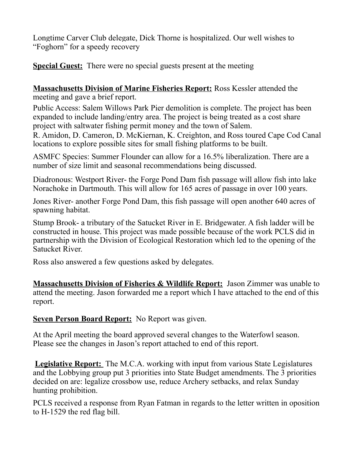Longtime Carver Club delegate, Dick Thorne is hospitalized. Our well wishes to "Foghorn" for a speedy recovery

**Special Guest:** There were no special guests present at the meeting

**Massachusetts Division of Marine Fisheries Report:** Ross Kessler attended the meeting and gave a brief report.

Public Access: Salem Willows Park Pier demolition is complete. The project has been expanded to include landing/entry area. The project is being treated as a cost share project with saltwater fishing permit money and the town of Salem.

R. Amidon, D. Cameron, D. McKiernan, K. Creighton, and Ross toured Cape Cod Canal locations to explore possible sites for small fishing platforms to be built.

ASMFC Species: Summer Flounder can allow for a 16.5% liberalization. There are a number of size limit and seasonal recommendations being discussed.

Diadronous: Westport River- the Forge Pond Dam fish passage will allow fish into lake Norachoke in Dartmouth. This will allow for 165 acres of passage in over 100 years.

Jones River- another Forge Pond Dam, this fish passage will open another 640 acres of spawning habitat.

Stump Brook- a tributary of the Satucket River in E. Bridgewater. A fish ladder will be constructed in house. This project was made possible because of the work PCLS did in partnership with the Division of Ecological Restoration which led to the opening of the Satucket River.

Ross also answered a few questions asked by delegates.

**Massachusetts Division of Fisheries & Wildlife Report:** Jason Zimmer was unable to attend the meeting. Jason forwarded me a report which I have attached to the end of this report.

**Seven Person Board Report:** No Report was given.

At the April meeting the board approved several changes to the Waterfowl season. Please see the changes in Jason's report attached to end of this report.

**Legislative Report:** The M.C.A. working with input from various State Legislatures and the Lobbying group put 3 priorities into State Budget amendments. The 3 priorities decided on are: legalize crossbow use, reduce Archery setbacks, and relax Sunday hunting prohibition.

PCLS received a response from Ryan Fatman in regards to the letter written in oposition to H-1529 the red flag bill.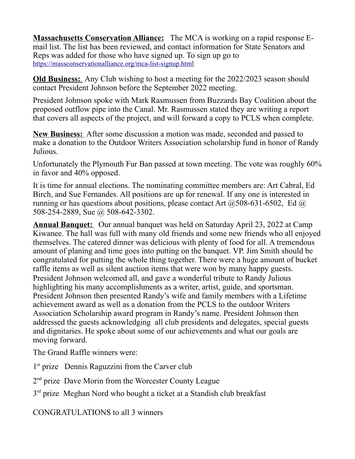**Massachusetts Conservation Alliance:** The MCA is working on a rapid response Email list. The list has been reviewed, and contact information for State Senators and Reps was added for those who have signed up. To sign up go to <https://massconservationalliance.org/mca-list-signup.html>

**Old Business:** Any Club wishing to host a meeting for the 2022/2023 season should contact President Johnson before the September 2022 meeting.

President Johnson spoke with Mark Rasmussen from Buzzards Bay Coalition about the proposed outflow pipe into the Canal. Mr. Rasmussen stated they are writing a report that covers all aspects of the project, and will forward a copy to PCLS when complete.

**New Business:** After some discussion a motion was made, seconded and passed to make a donation to the Outdoor Writers Association scholarship fund in honor of Randy Julious.

Unfortunately the Plymouth Fur Ban passed at town meeting. The vote was roughly 60% in favor and 40% opposed.

It is time for annual elections. The nominating committee members are: Art Cabral, Ed Birch, and Sue Fernandes. All positions are up for renewal. If any one is interested in running or has questions about positions, please contact Art  $(a)$ 508-631-6502, Ed  $(a)$ 508-254-2889, Sue @ 508-642-3302.

**Annual Banquet:** Our annual banquet was held on Saturday April 23, 2022 at Camp Kiwanee. The hall was full with many old friends and some new friends who all enjoyed themselves. The catered dinner was delicious with plenty of food for all. A tremendous amount of planing and time goes into putting on the banquet. VP. Jim Smith should be congratulated for putting the whole thing together. There were a huge amount of bucket raffle items as well as silent auction items that were won by many happy guests. President Johnson welcomed all, and gave a wonderful tribute to Randy Julious highlighting his many accomplishments as a writer, artist, guide, and sportsman. President Johnson then presented Randy's wife and family members with a Lifetime achievement award as well as a donation from the PCLS to the outdoor Writers Association Scholarship award program in Randy's name. President Johnson then addressed the guests acknowledging all club presidents and delegates, special guests and dignitaries. He spoke about some of our achievements and what our goals are moving forward.

The Grand Raffle winners were:

1<sup>st</sup> prize Dennis Raguzzini from the Carver club

2<sup>nd</sup> prize Dave Morin from the Worcester County League

3<sup>rd</sup> prize Meghan Nord who bought a ticket at a Standish club breakfast

CONGRATULATIONS to all 3 winners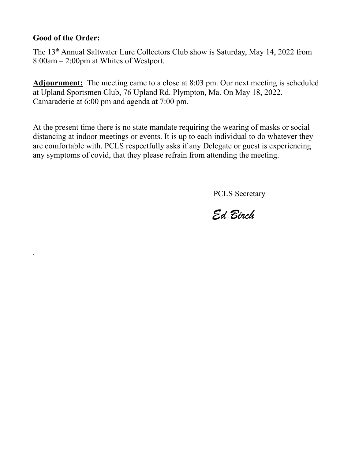## **Good of the Order:**

.

The 13<sup>th</sup> Annual Saltwater Lure Collectors Club show is Saturday, May 14, 2022 from 8:00am – 2:00pm at Whites of Westport.

**Adjournment:** The meeting came to a close at 8:03 pm. Our next meeting is scheduled at Upland Sportsmen Club, 76 Upland Rd. Plympton, Ma. On May 18, 2022. Camaraderie at 6:00 pm and agenda at 7:00 pm.

At the present time there is no state mandate requiring the wearing of masks or social distancing at indoor meetings or events. It is up to each individual to do whatever they are comfortable with. PCLS respectfully asks if any Delegate or guest is experiencing any symptoms of covid, that they please refrain from attending the meeting.

PCLS Secretary

*Ed Birch*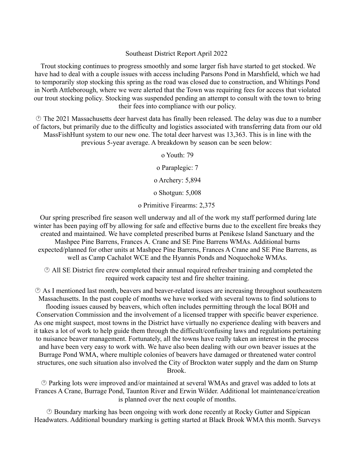## Southeast District Report April 2022

 Trout stocking continues to progress smoothly and some larger fish have started to get stocked. We have had to deal with a couple issues with access including Parsons Pond in Marshfield, which we had to temporarily stop stocking this spring as the road was closed due to construction, and Whitings Pond in North Attleborough, where we were alerted that the Town was requiring fees for access that violated our trout stocking policy. Stocking was suspended pending an attempt to consult with the town to bring their fees into compliance with our policy.

 The 2021 Massachusetts deer harvest data has finally been released. The delay was due to a number of factors, but primarily due to the difficulty and logistics associated with transferring data from our old MassFishHunt system to our new one. The total deer harvest was 13,363. This is in line with the previous 5-year average. A breakdown by season can be seen below:

o Youth: 79

o Paraplegic: 7

o Archery: 5,894

o Shotgun: 5,008

o Primitive Firearms: 2,375

 Our spring prescribed fire season well underway and all of the work my staff performed during late winter has been paying off by allowing for safe and effective burns due to the excellent fire breaks they created and maintained. We have completed prescribed burns at Penikese Island Sanctuary and the Mashpee Pine Barrens, Frances A. Crane and SE Pine Barrens WMAs. Additional burns expected/planned for other units at Mashpee Pine Barrens, Frances A Crane and SE Pine Barrens, as well as Camp Cachalot WCE and the Hyannis Ponds and Noquochoke WMAs.

 All SE District fire crew completed their annual required refresher training and completed the required work capacity test and fire shelter training.

 As I mentioned last month, beavers and beaver-related issues are increasing throughout southeastern Massachusetts. In the past couple of months we have worked with several towns to find solutions to flooding issues caused by beavers, which often includes permitting through the local BOH and Conservation Commission and the involvement of a licensed trapper with specific beaver experience. As one might suspect, most towns in the District have virtually no experience dealing with beavers and it takes a lot of work to help guide them through the difficult/confusing laws and regulations pertaining to nuisance beaver management. Fortunately, all the towns have really taken an interest in the process and have been very easy to work with. We have also been dealing with our own beaver issues at the Burrage Pond WMA, where multiple colonies of beavers have damaged or threatened water control structures, one such situation also involved the City of Brockton water supply and the dam on Stump Brook.

 Parking lots were improved and/or maintained at several WMAs and gravel was added to lots at Frances A Crane, Burrage Pond, Taunton River and Erwin Wilder. Additional lot maintenance/creation is planned over the next couple of months.

 Boundary marking has been ongoing with work done recently at Rocky Gutter and Sippican Headwaters. Additional boundary marking is getting started at Black Brook WMA this month. Surveys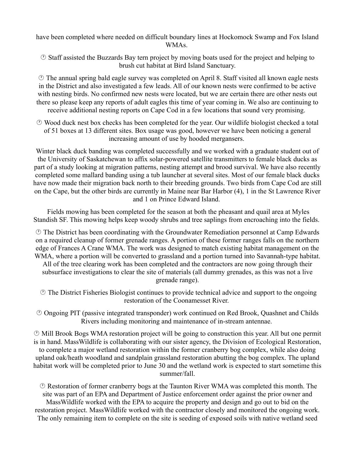have been completed where needed on difficult boundary lines at Hockomock Swamp and Fox Island WMAs.

 Staff assisted the Buzzards Bay tern project by moving boats used for the project and helping to brush cut habitat at Bird Island Sanctuary.

 The annual spring bald eagle survey was completed on April 8. Staff visited all known eagle nests in the District and also investigated a few leads. All of our known nests were confirmed to be active with nesting birds. No confirmed new nests were located, but we are certain there are other nests out there so please keep any reports of adult eagles this time of year coming in. We also are continuing to receive additional nesting reports on Cape Cod in a few locations that sound very promising.

 Wood duck nest box checks has been completed for the year. Our wildlife biologist checked a total of 51 boxes at 13 different sites. Box usage was good, however we have been noticing a general increasing amount of use by hooded mergansers.

Winter black duck banding was completed successfully and we worked with a graduate student out of the University of Saskatchewan to affix solar-powered satellite transmitters to female black ducks as part of a study looking at migration patterns, nesting attempt and brood survival. We have also recently completed some mallard banding using a tub launcher at several sites. Most of our female black ducks have now made their migration back north to their breeding grounds. Two birds from Cape Cod are still on the Cape, but the other birds are currently in Maine near Bar Harbor (4), 1 in the St Lawrence River and 1 on Prince Edward Island.

 Fields mowing has been completed for the season at both the pheasant and quail area at Myles Standish SF. This mowing helps keep woody shrubs and tree saplings from encroaching into the fields.

 The District has been coordinating with the Groundwater Remediation personnel at Camp Edwards on a required cleanup of former grenade ranges. A portion of these former ranges falls on the northern edge of Frances A Crane WMA. The work was designed to match existing habitat management on the WMA, where a portion will be converted to grassland and a portion turned into Savannah-type habitat.

All of the tree clearing work has been completed and the contractors are now going through their subsurface investigations to clear the site of materials (all dummy grenades, as this was not a live grenade range).

 The District Fisheries Biologist continues to provide technical advice and support to the ongoing restoration of the Coonamesset River.

 Ongoing PIT (passive integrated transponder) work continued on Red Brook, Quashnet and Childs Rivers including monitoring and maintenance of in-stream antennae.

 Mill Brook Bogs WMA restoration project will be going to construction this year. All but one permit is in hand. MassWildlife is collaborating with our sister agency, the Division of Ecological Restoration, to complete a major wetland restoration within the former cranberry bog complex, while also doing upland oak/heath woodland and sandplain grassland restoration abutting the bog complex. The upland habitat work will be completed prior to June 30 and the wetland work is expected to start sometime this summer/fall.

 Restoration of former cranberry bogs at the Taunton River WMA was completed this month. The site was part of an EPA and Department of Justice enforcement order against the prior owner and MassWildlife worked with the EPA to acquire the property and design and go out to bid on the restoration project. MassWildlife worked with the contractor closely and monitored the ongoing work. The only remaining item to complete on the site is seeding of exposed soils with native wetland seed